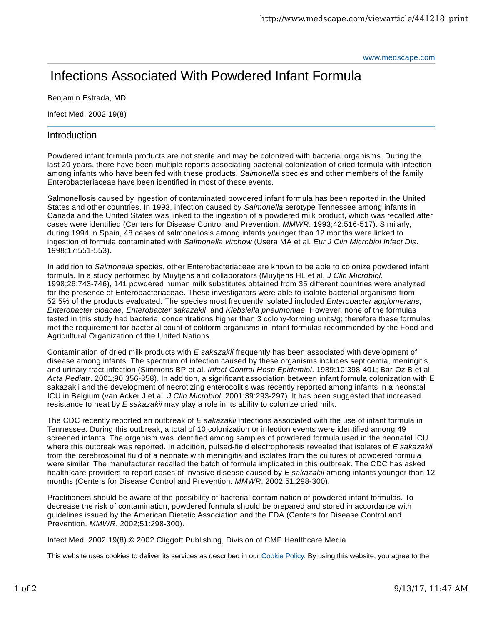www.medscape.com

## Infections Associated With Powdered Infant Formula

Benjamin Estrada, MD

Infect Med. 2002;19(8)

## **Introduction**

Powdered infant formula products are not sterile and may be colonized with bacterial organisms. During the last 20 years, there have been multiple reports associating bacterial colonization of dried formula with infection among infants who have been fed with these products. *Salmonella* species and other members of the family Enterobacteriaceae have been identified in most of these events.

Salmonellosis caused by ingestion of contaminated powdered infant formula has been reported in the United States and other countries. In 1993, infection caused by *Salmonella* serotype Tennessee among infants in Canada and the United States was linked to the ingestion of a powdered milk product, which was recalled after cases were identified (Centers for Disease Control and Prevention. *MMWR*. 1993;42:516-517). Similarly, during 1994 in Spain, 48 cases of salmonellosis among infants younger than 12 months were linked to ingestion of formula contaminated with *Salmonella virchow* (Usera MA et al. *Eur J Clin Microbiol Infect Dis*. 1998;17:551-553).

In addition to *Salmonella* species, other Enterobacteriaceae are known to be able to colonize powdered infant formula. In a study performed by Muytjens and collaborators (Muytjens HL et al. *J Clin Microbiol*. 1998;26:743-746), 141 powdered human milk substitutes obtained from 35 different countries were analyzed for the presence of Enterobacteriaceae. These investigators were able to isolate bacterial organisms from 52.5% of the products evaluated. The species most frequently isolated included *Enterobacter agglomerans*, *Enterobacter cloacae*, *Enterobacter sakazakii*, and *Klebsiella pneumoniae*. However, none of the formulas tested in this study had bacterial concentrations higher than 3 colony-forming units/g; therefore these formulas met the requirement for bacterial count of coliform organisms in infant formulas recommended by the Food and Agricultural Organization of the United Nations.

Contamination of dried milk products with *E sakazakii* frequently has been associated with development of disease among infants. The spectrum of infection caused by these organisms includes septicemia, meningitis, and urinary tract infection (Simmons BP et al. *Infect Control Hosp Epidemiol*. 1989;10:398-401; Bar-Oz B et al. *Acta Pediatr*. 2001;90:356-358). In addition, a significant association between infant formula colonization with E sakazakii and the development of necrotizing enterocolitis was recently reported among infants in a neonatal ICU in Belgium (van Acker J et al. *J Clin Microbiol*. 2001;39:293-297). It has been suggested that increased resistance to heat by *E sakazakii* may play a role in its ability to colonize dried milk.

The CDC recently reported an outbreak of *E sakazakii* infections associated with the use of infant formula in Tennessee. During this outbreak, a total of 10 colonization or infection events were identified among 49 screened infants. The organism was identified among samples of powdered formula used in the neonatal ICU where this outbreak was reported. In addition, pulsed-field electrophoresis revealed that isolates of *E sakazakii* from the cerebrospinal fluid of a neonate with meningitis and isolates from the cultures of powdered formula were similar. The manufacturer recalled the batch of formula implicated in this outbreak. The CDC has asked health care providers to report cases of invasive disease caused by *E sakazakii* among infants younger than 12 months (Centers for Disease Control and Prevention. *MMWR*. 2002;51:298-300).

Practitioners should be aware of the possibility of bacterial contamination of powdered infant formulas. To decrease the risk of contamination, powdered formula should be prepared and stored in accordance with guidelines issued by the American Dietetic Association and the FDA (Centers for Disease Control and Prevention. *MMWR*. 2002;51:298-300).

Infect Med. 2002;19(8) © 2002 Cliggott Publishing, Division of CMP Healthcare Media

This website uses cookies to deliver its services as described in our Cookie Policy. By using this website, you agree to the